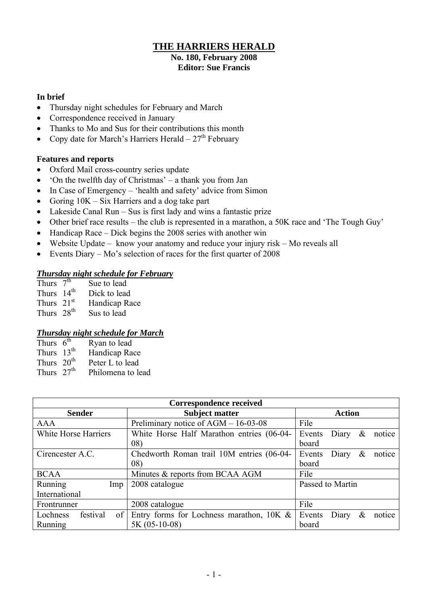### **THE HARRIERS HERALD**

#### **No. 180, February 2008 Editor: Sue Francis**

#### **In brief**

- Thursday night schedules for February and March
- Correspondence received in January
- Thanks to Mo and Sus for their contributions this month
- Copy date for March's Harriers Herald  $-27<sup>th</sup>$  February

#### **Features and reports**

- Oxford Mail cross-country series update
- 'On the twelfth day of Christmas' a thank you from Jan
- In Case of Emergency 'health and safety' advice from Simon
- Goring  $10K Six Harris$  and a dog take part
- Lakeside Canal Run Sus is first lady and wins a fantastic prize
- Other brief race results the club is represented in a marathon, a 50K race and 'The Tough Guy'
- $\bullet$  Handicap Race Dick begins the 2008 series with another win
- Website Update know your anatomy and reduce your injury risk Mo reveals all
- Events Diary Mo's selection of races for the first quarter of 2008

#### *Thursday night schedule for February*

| Thurs $7^{th}$ | Sue to lead   |
|----------------|---------------|
| Thurs $14th$   | Dick to lead  |
| Thurs $21st$   | Handicap Race |
| Thurs $28th$   | Sus to lead   |

#### *Thursday night schedule for March*

| Thurs $6^{\overline{th}}$ | Ryan to lead      |
|---------------------------|-------------------|
| Thurs $13th$              | Handicap Race     |
| Thurs $20th$              | Peter L to lead   |
| Thurs $27th$              | Philomena to lead |

| <b>Correspondence received</b> |                                             |                                |  |  |  |
|--------------------------------|---------------------------------------------|--------------------------------|--|--|--|
| <b>Sender</b>                  | <b>Subject matter</b>                       | <b>Action</b>                  |  |  |  |
| <b>AAA</b>                     | Preliminary notice of AGM - 16-03-08        | File                           |  |  |  |
| White Horse Harriers           | White Horse Half Marathon entries (06-04-   | Events<br>Diary<br>&<br>notice |  |  |  |
|                                | 08)                                         | board                          |  |  |  |
| Cirencester A.C.               | Chedworth Roman trail 10M entries (06-04-   | notice<br>Diary<br>Events<br>& |  |  |  |
|                                | 08)                                         | board                          |  |  |  |
| <b>BCAA</b>                    | Minutes & reports from BCAA AGM             | File                           |  |  |  |
| Running<br>Imp                 | 2008 catalogue                              | Passed to Martin               |  |  |  |
| International                  |                                             |                                |  |  |  |
| Frontrunner                    | 2008 catalogue                              | File                           |  |  |  |
| festival<br>Lochness<br>of 1   | Entry forms for Lochness marathon, $10K \&$ | notice<br>Diary<br>Events<br>& |  |  |  |
| <b>Running</b>                 | $5K (05-10-08)$                             | board                          |  |  |  |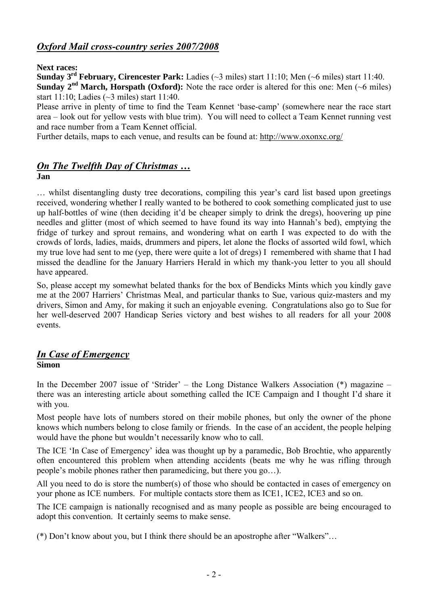## *Oxford Mail cross-country series 2007/2008*

#### **Next races:**

**Sunday 3 rd February, Cirencester Park:** Ladies (~3 miles) start 11:10; Men (~6 miles) start 11:40. **Sunday**  $2^{nd}$  **March, Horspath (Oxford):** Note the race order is altered for this one: Men ( $\sim$ 6 miles) start 11:10; Ladies (~3 miles) start 11:40.

Please arrive in plenty of time to find the Team Kennet 'base-camp' (somewhere near the race start area – look out for yellow vests with blue trim). You will need to collect a Team Kennet running vest and race number from a Team Kennet official.

Further details, maps to each venue, and results can be found at: <http://www.oxonxc.org/>

# *On The Twelfth Day of Christmas …*

#### **Jan**

… whilst disentangling dusty tree decorations, compiling this year's card list based upon greetings received, wondering whether I really wanted to be bothered to cook something complicated just to use up half-bottles of wine (then deciding it'd be cheaper simply to drink the dregs), hoovering up pine needles and glitter (most of which seemed to have found its way into Hannah's bed), emptying the fridge of turkey and sprout remains, and wondering what on earth I was expected to do with the crowds of lords, ladies, maids, drummers and pipers, let alone the flocks of assorted wild fowl, which my true love had sent to me (yep, there were quite a lot of dregs) I remembered with shame that I had missed the deadline for the January Harriers Herald in which my thank-you letter to you all should have appeared.

So, please accept my somewhat belated thanks for the box of Bendicks Mints which you kindly gave me at the 2007 Harriers' Christmas Meal, and particular thanks to Sue, various quiz-masters and my drivers, Simon and Amy, for making it such an enjoyable evening. Congratulations also go to Sue for her well-deserved 2007 Handicap Series victory and best wishes to all readers for all your 2008 events.

#### *In Case of Emergency* **Simon**

In the December 2007 issue of 'Strider' – the Long Distance Walkers Association (\*) magazine – there was an interesting article about something called the ICE Campaign and I thought I'd share it with you.

Most people have lots of numbers stored on their mobile phones, but only the owner of the phone knows which numbers belong to close family or friends. In the case of an accident, the people helping would have the phone but wouldn't necessarily know who to call.

The ICE 'In Case of Emergency' idea was thought up by a paramedic, Bob Brochtie, who apparently often encountered this problem when attending accidents (beats me why he was rifling through people's mobile phones rather then paramedicing, but there you go…).

All you need to do is store the number(s) of those who should be contacted in cases of emergency on your phone as ICE numbers. For multiple contacts store them as ICE1, ICE2, ICE3 and so on.

The ICE campaign is nationally recognised and as many people as possible are being encouraged to adopt this convention. It certainly seems to make sense.

(\*) Don't know about you, but I think there should be an apostrophe after "Walkers"…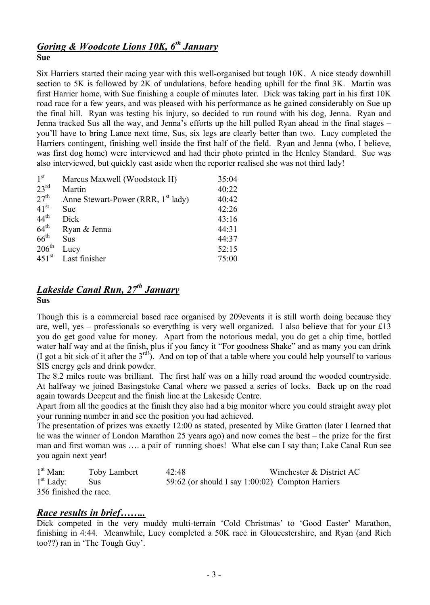# *Goring & Woodcote Lions 10K, 6 th January*

**Sue**

Six Harriers started their racing year with this well-organised but tough 10K. A nice steady downhill section to 5K is followed by 2K of undulations, before heading uphill for the final 3K. Martin was first Harrier home, with Sue finishing a couple of minutes later. Dick was taking part in his first 10K road race for a few years, and was pleased with his performance as he gained considerably on Sue up the final hill. Ryan was testing his injury, so decided to run round with his dog, Jenna. Ryan and Jenna tracked Sus all the way, and Jenna's efforts up the hill pulled Ryan ahead in the final stages – you'll have to bring Lance next time, Sus, six legs are clearly better than two. Lucy completed the Harriers contingent, finishing well inside the first half of the field. Ryan and Jenna (who, I believe, was first dog home) were interviewed and had their photo printed in the Henley Standard. Sue was also interviewed, but quickly cast aside when the reporter realised she was not third lady!

| 1 <sup>st</sup>     | Marcus Maxwell (Woodstock H)                   | 35:04 |
|---------------------|------------------------------------------------|-------|
| $23^{\text{rd}}$    | Martin                                         | 40:22 |
| 27 <sup>th</sup>    | Anne Stewart-Power (RRR, 1 <sup>st</sup> lady) | 40:42 |
| 41 <sup>st</sup>    | Sue                                            | 42:26 |
| $44^{\text{th}}$    | Dick                                           | 43:16 |
| $64^{\text{th}}$    | Ryan & Jenna                                   | 44:31 |
| $66^{\text{th}}$    | Sus                                            | 44:37 |
| $206^{\text{th}}$   | Lucy                                           | 52:15 |
| $451$ <sup>st</sup> | Last finisher                                  | 75:00 |
|                     |                                                |       |

# *Lakeside Canal Run, 27th January*

**Sus**

Though this is a commercial based race organised by 209events it is still worth doing because they are, well, yes – professionals so everything is very well organized. I also believe that for your  $\pounds$ 13 you do get good value for money. Apart from the notorious medal, you do get a chip time, bottled water half way and at the finish, plus if you fancy it "For goodness Shake" and as many you can drink (I got a bit sick of it after the  $3^{\text{rd}}$ ). And on top of that a table where you could help yourself to various SIS energy gels and drink powder.

The 8.2 miles route was brilliant. The first half was on a hilly road around the wooded countryside. At halfway we joined Basingstoke Canal where we passed a series of locks. Back up on the road again towards Deepcut and the finish line at the Lakeside Centre.

Apart from all the goodies at the finish they also had a big monitor where you could straight away plot your running number in and see the position you had achieved.

The presentation of prizes was exactly 12:00 as stated, presented by Mike Gratton (later I learned that he was the winner of London Marathon 25 years ago) and now comes the best – the prize for the first man and first woman was …. a pair of running shoes! What else can I say than; Lake Canal Run see you again next year!

| $1st$ Man:             | <b>Toby Lambert</b> | 42:48 | Winchester & District AC                         |
|------------------------|---------------------|-------|--------------------------------------------------|
| $1st$ Lady:            | Sus.                |       | 59:62 (or should I say 1:00:02) Compton Harriers |
| 356 finished the race. |                     |       |                                                  |

## *Race results in brief……..*

Dick competed in the very muddy multi-terrain 'Cold Christmas' to 'Good Easter' Marathon, finishing in 4:44. Meanwhile, Lucy completed a 50K race in Gloucestershire, and Ryan (and Rich too??) ran in 'The Tough Guy'.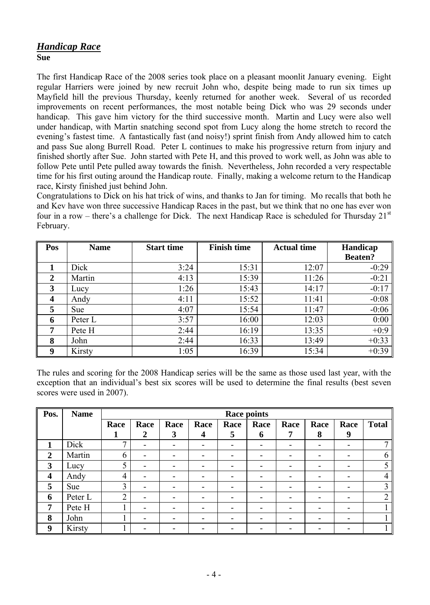#### *Handicap Race* **Sue**

The first Handicap Race of the 2008 series took place on a pleasant moonlit January evening. Eight regular Harriers were joined by new recruit John who, despite being made to run six times up Mayfield hill the previous Thursday, keenly returned for another week. Several of us recorded improvements on recent performances, the most notable being Dick who was 29 seconds under handicap. This gave him victory for the third successive month. Martin and Lucy were also well under handicap, with Martin snatching second spot from Lucy along the home stretch to record the evening's fastest time. A fantastically fast (and noisy!) sprint finish from Andy allowed him to catch and pass Sue along Burrell Road. Peter L continues to make his progressive return from injury and finished shortly after Sue. John started with Pete H, and this proved to work well, as John was able to follow Pete until Pete pulled away towards the finish. Nevertheless, John recorded a very respectable time for his first outing around the Handicap route. Finally, making a welcome return to the Handicap race, Kirsty finished just behind John.

Congratulations to Dick on his hat trick of wins, and thanks to Jan for timing. Mo recalls that both he and Kev have won three successive Handicap Races in the past, but we think that no one has ever won four in a row – there's a challenge for Dick. The next Handicap Race is scheduled for Thursday  $21<sup>st</sup>$ February.

| Pos                     | <b>Name</b> | <b>Start time</b> | <b>Finish time</b> | <b>Actual time</b> | Handicap       |
|-------------------------|-------------|-------------------|--------------------|--------------------|----------------|
|                         |             |                   |                    |                    | <b>Beaten?</b> |
|                         | Dick        | 3:24              | 15:31              | 12:07              | $-0:29$        |
| $\overline{2}$          | Martin      | 4:13              | 15:39              | 11:26              | $-0:21$        |
| 3                       | Lucy        | 1:26              | 15:43              | 14:17              | $-0:17$        |
| $\overline{\mathbf{4}}$ | Andy        | 4:11              | 15:52              | 11:41              | $-0:08$        |
| 5                       | <b>Sue</b>  | 4:07              | 15:54              | 11:47              | $-0:06$        |
| 6                       | Peter L     | 3:57              | 16:00              | 12:03              | 0:00           |
| 7                       | Pete H      | 2:44              | 16:19              | 13:35              | $+0:9$         |
| 8                       | John        | 2:44              | 16:33              | 13:49              | $+0:33$        |
| 9                       | Kirsty      | 1:05              | 16:39              | 15:34              | $+0:39$        |

The rules and scoring for the 2008 Handicap series will be the same as those used last year, with the exception that an individual's best six scores will be used to determine the final results (best seven scores were used in 2007).

| Pos.             | <b>Name</b> | <b>Race points</b> |                  |                          |                  |      |                          |                          |      |                          |                |
|------------------|-------------|--------------------|------------------|--------------------------|------------------|------|--------------------------|--------------------------|------|--------------------------|----------------|
|                  |             | Race               | Race             | Race                     | Race             | Race | Race                     | Race                     | Race | Race                     | <b>Total</b>   |
|                  |             | 1                  | $\boldsymbol{2}$ | 3                        | $\boldsymbol{4}$ | 5    | 6                        | 7                        | 8    | 9                        |                |
| $\mathbf 1$      | Dick        | 7                  | -                | -                        | -                | -    | $\overline{\phantom{a}}$ | $\overline{\phantom{a}}$ | -    |                          | 7              |
| $\overline{2}$   | Martin      | 6                  |                  |                          |                  |      | -                        | $\overline{\phantom{0}}$ | -    |                          | 6              |
| $\mathbf{3}$     | Lucy        | 5                  | -                | -                        | -                | -    | -                        | $\overline{\phantom{a}}$ | -    | $\overline{\phantom{a}}$ | 5              |
| $\boldsymbol{4}$ | Andy        | 4                  | -                | $\overline{\phantom{0}}$ | -                | -    | $\overline{\phantom{0}}$ | $\overline{\phantom{a}}$ | -    |                          | 4              |
| 5                | Sue         | 3                  | -                | -                        | ۰                | -    | -                        | $\blacksquare$           | -    |                          | 3              |
| 6                | Peter L     | $\overline{2}$     | -                |                          |                  |      | -                        | -                        | ۰    |                          | $\overline{2}$ |
| $\overline{7}$   | Pete H      |                    |                  |                          |                  |      | -                        | $\overline{\phantom{0}}$ | ۰    |                          |                |
| 8                | John        |                    |                  |                          |                  |      |                          | -                        |      |                          | 1              |
| 9                | Kirsty      |                    |                  |                          |                  |      |                          |                          |      |                          |                |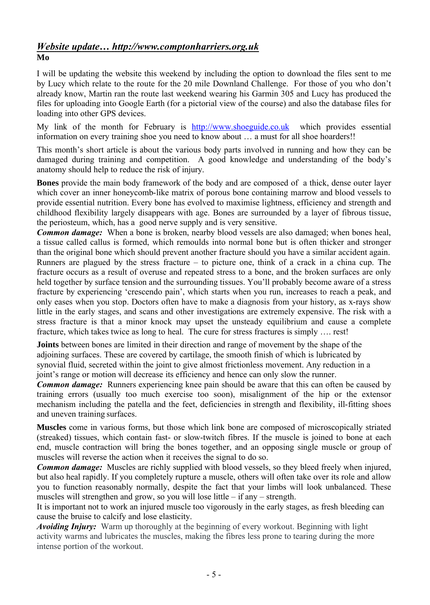#### *Website update… http://www.comptonharriers.org.uk* **Mo**

I will be updating the website this weekend by including the option to download the files sent to me by Lucy which relate to the route for the 20 mile Downland Challenge. For those of you who don't already know, Martin ran the route last weekend wearing his Garmin 305 and Lucy has produced the files for uploading into Google Earth (for a pictorial view of the course) and also the database files for loading into other GPS devices.

My link of the month for February is [http://www.shoeguide.co.uk](http://www.shoeguide.co.uk/) which provides essential information on every training shoe you need to know about … a must for all shoe hoarders!!

This month's short article is about the various body parts involved in running and how they can be damaged during training and competition. A good knowledge and understanding of the body's anatomy should help to reduce the risk of injury.

**Bones** provide the main body framework of the body and are composed of a thick, dense outer layer which cover an inner honeycomb-like matrix of porous bone containing marrow and blood vessels to provide essential nutrition. Every bone has evolved to maximise lightness, efficiency and strength and childhood flexibility largely disappears with age. Bones are surrounded by a layer of fibrous tissue, the periosteum, which, has a good nerve supply and is very sensitive.

*Common damage:* When a bone is broken, nearby blood vessels are also damaged; when bones heal, a tissue called callus is formed, which remoulds into normal bone but is often thicker and stronger than the original bone which should prevent another fracture should you have a similar accident again. Runners are plagued by the stress fracture – to picture one, think of a crack in a china cup. The fracture occurs as a result of overuse and repeated stress to a bone, and the broken surfaces are only held together by surface tension and the surrounding tissues. You'll probably become aware of a stress fracture by experiencing 'crescendo pain', which starts when you run, increases to reach a peak, and only eases when you stop. Doctors often have to make a diagnosis from your history, as x-rays show little in the early stages, and scans and other investigations are extremely expensive. The risk with a stress fracture is that a minor knock may upset the unsteady equilibrium and cause a complete fracture, which takes twice as long to heal. The cure for stress fractures is simply …. rest!

**Joints** between bones are limited in their direction and range of movement by the shape of the adjoining surfaces. These are covered by cartilage, the smooth finish of which is lubricated by synovial fluid, secreted within the joint to give almost frictionless movement. Any reduction in a joint's range or motion will decrease its efficiency and hence can only slow the runner.

*Common damage:* Runners experiencing knee pain should be aware that this can often be caused by training errors (usually too much exercise too soon), misalignment of the hip or the extensor mechanism including the patella and the feet, deficiencies in strength and flexibility, ill-fitting shoes and uneven training surfaces.

**Muscles** come in various forms, but those which link bone are composed of microscopically striated (streaked) tissues, which contain fast- or slow-twitch fibres. If the muscle is joined to bone at each end, muscle contraction will bring the bones together, and an opposing single muscle or group of muscles will reverse the action when it receives the signal to do so.

*Common damage:* Muscles are richly supplied with blood vessels, so they bleed freely when injured, but also heal rapidly. If you completely rupture a muscle, others will often take over its role and allow you to function reasonably normally, despite the fact that your limbs will look unbalanced. These muscles will strengthen and grow, so you will lose little – if any – strength.

It is important not to work an injured muscle too vigorously in the early stages, as fresh bleeding can cause the bruise to calcify and lose elasticity.

*Avoiding Injury:* Warm up thoroughly at the beginning of every workout. Beginning with light activity warms and lubricates the muscles, making the fibres less prone to tearing during the more intense portion of the workout.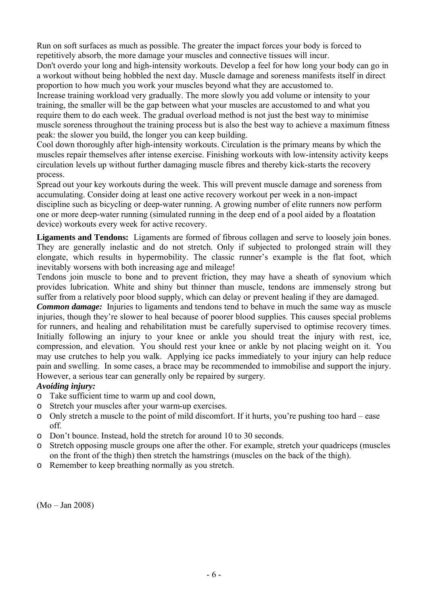Run on soft surfaces as much as possible. The greater the impact forces your body is forced to repetitively absorb, the more damage your muscles and connective tissues will incur.

Don't overdo your long and high-intensity workouts. Develop a feel for how long your body can go in a workout without being hobbled the next day. Muscle damage and soreness manifests itself in direct proportion to how much you work your muscles beyond what they are accustomed to.

Increase training workload very gradually. The more slowly you add volume or intensity to your training, the smaller will be the gap between what your muscles are accustomed to and what you require them to do each week. The gradual overload method is not just the best way to minimise muscle soreness throughout the training process but is also the best way to achieve a maximum fitness peak: the slower you build, the longer you can keep building.

Cool down thoroughly after high-intensity workouts. Circulation is the primary means by which the muscles repair themselves after intense exercise. Finishing workouts with low-intensity activity keeps circulation levels up without further damaging muscle fibres and thereby kick-starts the recovery process.

Spread out your key workouts during the week. This will prevent muscle damage and soreness from accumulating. Consider doing at least one active recovery workout per week in a non-impact discipline such as bicycling or deep-water running. A growing number of elite runners now perform one or more deep-water running (simulated running in the deep end of a pool aided by a floatation device) workouts every week for active recovery.

**Ligaments and Tendons:** Ligaments are formed of fibrous collagen and serve to loosely join bones. They are generally inelastic and do not stretch. Only if subjected to prolonged strain will they elongate, which results in hypermobility. The classic runner's example is the flat foot, which inevitably worsens with both increasing age and mileage!

Tendons join muscle to bone and to prevent friction, they may have a sheath of synovium which provides lubrication. White and shiny but thinner than muscle, tendons are immensely strong but suffer from a relatively poor blood supply, which can delay or prevent healing if they are damaged.

*Common damage:* Injuries to ligaments and tendons tend to behave in much the same way as muscle injuries, though they're slower to heal because of poorer blood supplies. This causes special problems for runners, and healing and rehabilitation must be carefully supervised to optimise recovery times. Initially following an injury to your knee or ankle you should treat the injury with rest, ice, compression, and elevation. You should rest your knee or ankle by not placing weight on it. You may use crutches to help you walk. Applying ice packs immediately to your injury can help reduce pain and swelling. In some cases, a brace may be recommended to immobilise and support the injury. However, a serious tear can generally only be repaired by surgery.

#### *Avoiding injury:*

- o Take sufficient time to warm up and cool down,
- o Stretch your muscles after your warm-up exercises.
- o Only stretch a muscle to the point of mild discomfort. If it hurts, you're pushing too hard ease off.
- o Don't bounce. Instead, hold the stretch for around 10 to 30 seconds.
- o Stretch opposing muscle groups one after the other. For example, stretch your quadriceps (muscles on the front of the thigh) then stretch the hamstrings (muscles on the back of the thigh).
- o Remember to keep breathing normally as you stretch.

(Mo – Jan 2008)